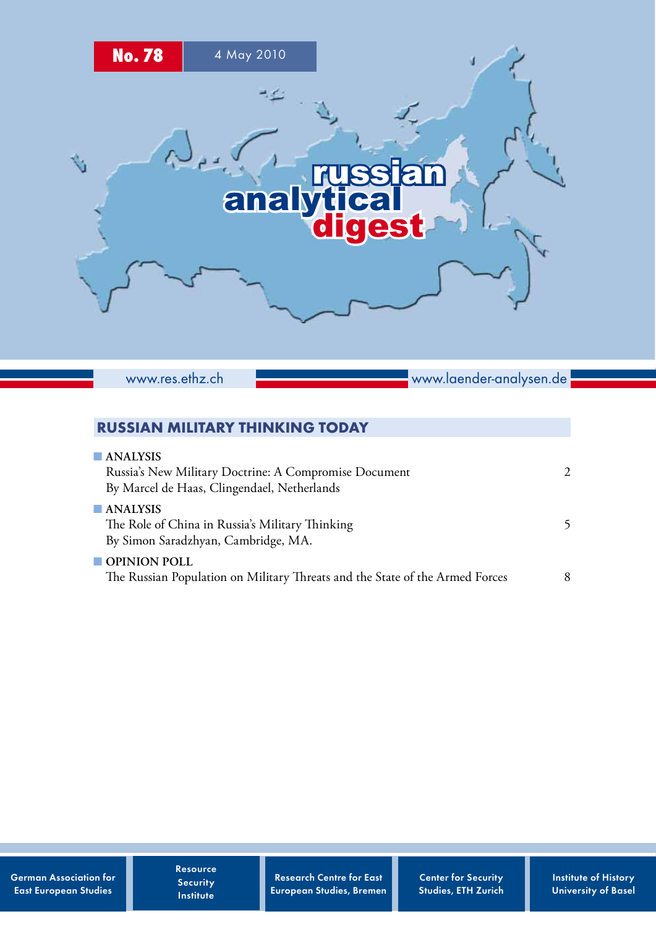

www.res.ethz.ch

www.laender-analysen.de

# RUSSIAN MILITARY THINKING TODAY

| $\blacksquare$ ANALYSIS<br>Russia's New Military Doctrine: A Compromise Document                                  | $\mathcal{D}_{\mathcal{L}}$ |
|-------------------------------------------------------------------------------------------------------------------|-----------------------------|
| By Marcel de Haas, Clingendael, Netherlands                                                                       |                             |
| $\blacksquare$ ANALYSIS<br>The Role of China in Russia's Military Thinking<br>By Simon Saradzhyan, Cambridge, MA. | 5                           |
| $\blacksquare$ OPINION POLL<br>The Russian Population on Military Threats and the State of the Armed Forces       | 8                           |

Resource **Security** Institute

Research Centre for East European Studies, Bremen Center for Security Studies, ETH Zurich Institute of History University of Basel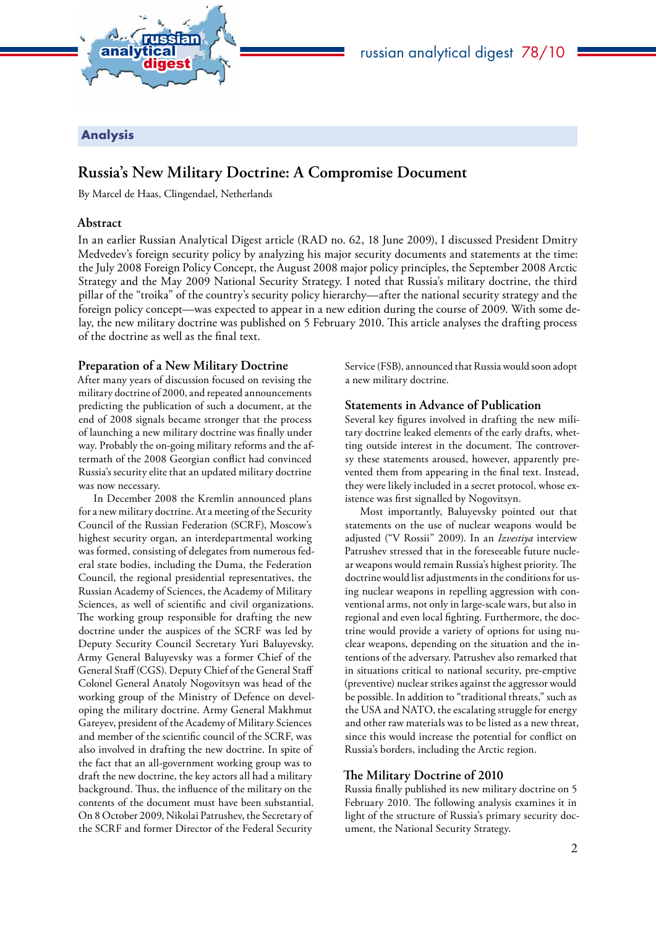<span id="page-1-0"></span>

## Analysis

# **Russia's New Military Doctrine: A Compromise Document**

By Marcel de Haas, Clingendael, Netherlands

### **Abstract**

In an earlier Russian Analytical Digest article (RAD no. 62, 18 June 2009), I discussed President Dmitry Medvedev's foreign security policy by analyzing his major security documents and statements at the time: the July 2008 Foreign Policy Concept, the August 2008 major policy principles, the September 2008 Arctic Strategy and the May 2009 National Security Strategy. I noted that Russia's military doctrine, the third pillar of the "troika" of the country's security policy hierarchy—after the national security strategy and the foreign policy concept—was expected to appear in a new edition during the course of 2009. With some delay, the new military doctrine was published on 5 February 2010. This article analyses the drafting process of the doctrine as well as the final text.

### **Preparation of a New Military Doctrine**

After many years of discussion focused on revising the military doctrine of 2000, and repeated announcements predicting the publication of such a document, at the end of 2008 signals became stronger that the process of launching a new military doctrine was finally under way. Probably the on-going military reforms and the aftermath of the 2008 Georgian conflict had convinced Russia's security elite that an updated military doctrine was now necessary.

In December 2008 the Kremlin announced plans for a new military doctrine. At a meeting of the Security Council of the Russian Federation (SCRF), Moscow's highest security organ, an interdepartmental working was formed, consisting of delegates from numerous federal state bodies, including the Duma, the Federation Council, the regional presidential representatives, the Russian Academy of Sciences, the Academy of Military Sciences, as well of scientific and civil organizations. The working group responsible for drafting the new doctrine under the auspices of the SCRF was led by Deputy Security Council Secretary Yuri Baluyevsky. Army General Baluyevsky was a former Chief of the General Staff (CGS). Deputy Chief of the General Staff Colonel General Anatoly Nogovitsyn was head of the working group of the Ministry of Defence on developing the military doctrine. Army General Makhmut Gareyev, president of the Academy of Military Sciences and member of the scientific council of the SCRF, was also involved in drafting the new doctrine. In spite of the fact that an all-government working group was to draft the new doctrine, the key actors all had a military background. Thus, the influence of the military on the contents of the document must have been substantial. On 8 October 2009, Nikolai Patrushev, the Secretary of the SCRF and former Director of the Federal Security

Service (FSB), announced that Russia would soon adopt a new military doctrine.

### **Statements in Advance of Publication**

Several key figures involved in drafting the new military doctrine leaked elements of the early drafts, whetting outside interest in the document. The controversy these statements aroused, however, apparently prevented them from appearing in the final text. Instead, they were likely included in a secret protocol, whose existence was first signalled by Nogovitsyn.

Most importantly, Baluyevsky pointed out that statements on the use of nuclear weapons would be adjusted ("V Rossii" 2009). In an *Izvestiya* interview Patrushev stressed that in the foreseeable future nuclear weapons would remain Russia's highest priority. The doctrine would list adjustments in the conditions for using nuclear weapons in repelling aggression with conventional arms, not only in large-scale wars, but also in regional and even local fighting. Furthermore, the doctrine would provide a variety of options for using nuclear weapons, depending on the situation and the intentions of the adversary. Patrushev also remarked that in situations critical to national security, pre-emptive (preventive) nuclear strikes against the aggressor would be possible. In addition to "traditional threats," such as the USA and NATO, the escalating struggle for energy and other raw materials was to be listed as a new threat, since this would increase the potential for conflict on Russia's borders, including the Arctic region.

## **The Military Doctrine of 2010**

Russia finally published its new military doctrine on 5 February 2010. The following analysis examines it in light of the structure of Russia's primary security document, the National Security Strategy.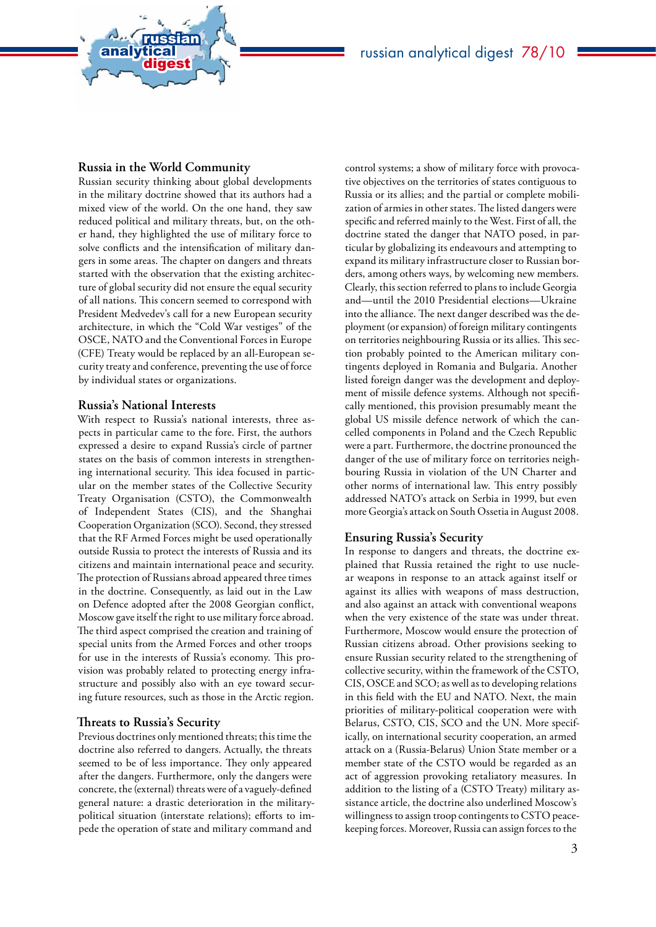

### **Russia in the World Community**

analytical<br>digest

russian

Russian security thinking about global developments in the military doctrine showed that its authors had a mixed view of the world. On the one hand, they saw reduced political and military threats, but, on the other hand, they highlighted the use of military force to solve conflicts and the intensification of military dangers in some areas. The chapter on dangers and threats started with the observation that the existing architecture of global security did not ensure the equal security of all nations. This concern seemed to correspond with President Medvedev's call for a new European security architecture, in which the "Cold War vestiges" of the OSCE, NATO and the Conventional Forces in Europe (CFE) Treaty would be replaced by an all-European security treaty and conference, preventing the use of force by individual states or organizations.

#### **Russia's National Interests**

With respect to Russia's national interests, three aspects in particular came to the fore. First, the authors expressed a desire to expand Russia's circle of partner states on the basis of common interests in strengthening international security. This idea focused in particular on the member states of the Collective Security Treaty Organisation (CSTO), the Commonwealth of Independent States (CIS), and the Shanghai Cooperation Organization (SCO). Second, they stressed that the RF Armed Forces might be used operationally outside Russia to protect the interests of Russia and its citizens and maintain international peace and security. The protection of Russians abroad appeared three times in the doctrine. Consequently, as laid out in the Law on Defence adopted after the 2008 Georgian conflict, Moscow gave itself the right to use military force abroad. The third aspect comprised the creation and training of special units from the Armed Forces and other troops for use in the interests of Russia's economy. This provision was probably related to protecting energy infrastructure and possibly also with an eye toward securing future resources, such as those in the Arctic region.

#### **Threats to Russia's Security**

Previous doctrines only mentioned threats; this time the doctrine also referred to dangers. Actually, the threats seemed to be of less importance. They only appeared after the dangers. Furthermore, only the dangers were concrete, the (external) threats were of a vaguely-defined general nature: a drastic deterioration in the militarypolitical situation (interstate relations); efforts to impede the operation of state and military command and

control systems; a show of military force with provocative objectives on the territories of states contiguous to Russia or its allies; and the partial or complete mobilization of armies in other states. The listed dangers were specific and referred mainly to the West. First of all, the doctrine stated the danger that NATO posed, in particular by globalizing its endeavours and attempting to expand its military infrastructure closer to Russian borders, among others ways, by welcoming new members. Clearly, this section referred to plans to include Georgia and—until the 2010 Presidential elections—Ukraine into the alliance. The next danger described was the deployment (or expansion) of foreign military contingents on territories neighbouring Russia or its allies. This section probably pointed to the American military contingents deployed in Romania and Bulgaria. Another listed foreign danger was the development and deployment of missile defence systems. Although not specifically mentioned, this provision presumably meant the global US missile defence network of which the cancelled components in Poland and the Czech Republic were a part. Furthermore, the doctrine pronounced the danger of the use of military force on territories neighbouring Russia in violation of the UN Charter and other norms of international law. This entry possibly addressed NATO's attack on Serbia in 1999, but even more Georgia's attack on South Ossetia in August 2008.

#### **Ensuring Russia's Security**

In response to dangers and threats, the doctrine explained that Russia retained the right to use nuclear weapons in response to an attack against itself or against its allies with weapons of mass destruction, and also against an attack with conventional weapons when the very existence of the state was under threat. Furthermore, Moscow would ensure the protection of Russian citizens abroad. Other provisions seeking to ensure Russian security related to the strengthening of collective security, within the framework of the CSTO, CIS, OSCE and SCO; as well as to developing relations in this field with the EU and NATO. Next, the main priorities of military-political cooperation were with Belarus, CSTO, CIS, SCO and the UN. More specifically, on international security cooperation, an armed attack on a (Russia-Belarus) Union State member or a member state of the CSTO would be regarded as an act of aggression provoking retaliatory measures. In addition to the listing of a (CSTO Treaty) military assistance article, the doctrine also underlined Moscow's willingness to assign troop contingents to CSTO peacekeeping forces. Moreover, Russia can assign forces to the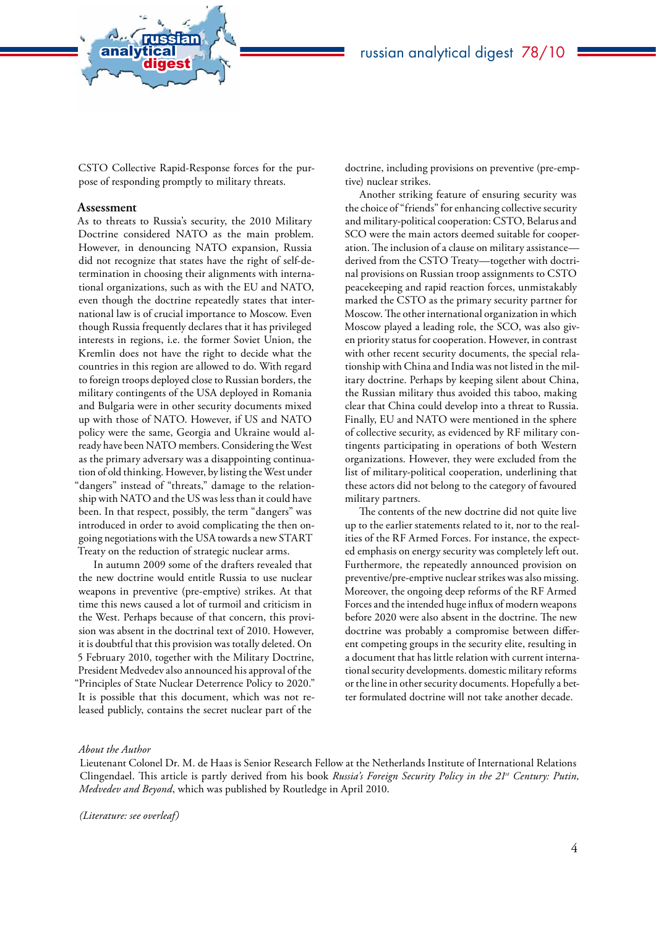

CSTO Collective Rapid-Response forces for the purpose of responding promptly to military threats.

#### **Assessment**

analytical<br>digest

russian

As to threats to Russia's security, the 2010 Military Doctrine considered NATO as the main problem. However, in denouncing NATO expansion, Russia did not recognize that states have the right of self-determination in choosing their alignments with international organizations, such as with the EU and NATO, even though the doctrine repeatedly states that international law is of crucial importance to Moscow. Even though Russia frequently declares that it has privileged interests in regions, i.e. the former Soviet Union, the Kremlin does not have the right to decide what the countries in this region are allowed to do. With regard to foreign troops deployed close to Russian borders, the military contingents of the USA deployed in Romania and Bulgaria were in other security documents mixed up with those of NATO. However, if US and NATO policy were the same, Georgia and Ukraine would already have been NATO members. Considering the West as the primary adversary was a disappointing continuation of old thinking. However, by listing the West under "dangers" instead of "threats," damage to the relationship with NATO and the US was less than it could have been. In that respect, possibly, the term "dangers" was introduced in order to avoid complicating the then ongoing negotiations with the USA towards a new START Treaty on the reduction of strategic nuclear arms.

In autumn 2009 some of the drafters revealed that the new doctrine would entitle Russia to use nuclear weapons in preventive (pre-emptive) strikes. At that time this news caused a lot of turmoil and criticism in the West. Perhaps because of that concern, this provision was absent in the doctrinal text of 2010. However, it is doubtful that this provision was totally deleted. On 5 February 2010, together with the Military Doctrine, President Medvedev also announced his approval of the "Principles of State Nuclear Deterrence Policy to 2020." It is possible that this document, which was not released publicly, contains the secret nuclear part of the

doctrine, including provisions on preventive (pre-emptive) nuclear strikes.

Another striking feature of ensuring security was the choice of "friends" for enhancing collective security and military-political cooperation: CSTO, Belarus and SCO were the main actors deemed suitable for cooperation. The inclusion of a clause on military assistance derived from the CSTO Treaty—together with doctrinal provisions on Russian troop assignments to CSTO peacekeeping and rapid reaction forces, unmistakably marked the CSTO as the primary security partner for Moscow. The other international organization in which Moscow played a leading role, the SCO, was also given priority status for cooperation. However, in contrast with other recent security documents, the special relationship with China and India was not listed in the military doctrine. Perhaps by keeping silent about China, the Russian military thus avoided this taboo, making clear that China could develop into a threat to Russia. Finally, EU and NATO were mentioned in the sphere of collective security, as evidenced by RF military contingents participating in operations of both Western organizations. However, they were excluded from the list of military-political cooperation, underlining that these actors did not belong to the category of favoured military partners.

The contents of the new doctrine did not quite live up to the earlier statements related to it, nor to the realities of the RF Armed Forces. For instance, the expected emphasis on energy security was completely left out. Furthermore, the repeatedly announced provision on preventive/pre-emptive nuclear strikes was also missing. Moreover, the ongoing deep reforms of the RF Armed Forces and the intended huge influx of modern weapons before 2020 were also absent in the doctrine. The new doctrine was probably a compromise between different competing groups in the security elite, resulting in a document that has little relation with current international security developments. domestic military reforms or the line in other security documents. Hopefully a better formulated doctrine will not take another decade.

#### *About the Author*

Lieutenant Colonel Dr. M. de Haas is Senior Research Fellow at the Netherlands Institute of International Relations Clingendael. This article is partly derived from his book Russia's Foreign Security Policy in the 21<sup>st</sup> Century: Putin, *Medvedev and Beyond*, which was published by Routledge in April 2010.

*(Literature: see overleaf)*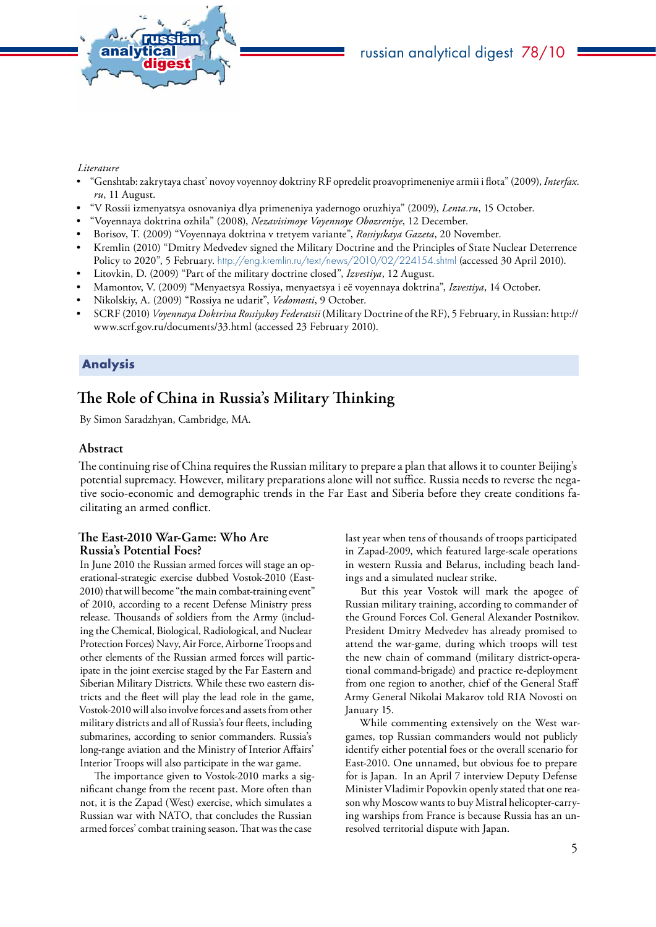<span id="page-4-0"></span>

### *Literature*

- "Genshtab: zakrytaya chast' novoy voyennoy doktriny RF opredelit proavoprimeneniye armii i flota" (2009), *Interfax. ru*, 11 August.
- "V Rossii izmenyatsya osnovaniya dlya primeneniya yadernogo oruzhiya" (2009), *Lenta.ru*, 15 October.
- "Voyennaya doktrina ozhila" (2008), *Nezavisimoye Voyennoye Obozreniye*, 12 December.
- Borisov, T. (2009) "Voyennaya doktrina v tretyem variante", *Rossiyskaya Gazeta*, 20 November.
- Kremlin (2010) "Dmitry Medvedev signed the Military Doctrine and the Principles of State Nuclear Deterrence Policy to 2020", 5 February. <http://eng.kremlin.ru/text/news/2010/02/224154.shtml> (accessed 30 April 2010).
- Litovkin, D. (2009) "Part of the military doctrine closed", *Izvestiya*, 12 August.
- Mamontov, V. (2009) "Menyaetsya Rossiya, menyaetsya i eë voyennaya doktrina", *Izvestiya*, 14 October.
- Nikolskiy, A. (2009) "Rossiya ne udarit", *Vedomosti*, 9 October.
- SCRF (2010) *Voyennaya Doktrina Rossiyskoy Federatsii* (Military Doctrine of the RF), 5 February, in Russian: http:// www.scrf.gov.ru/documents/33.html (accessed 23 February 2010).

### Analysis

# **The Role of China in Russia's Military Thinking**

By Simon Saradzhyan, Cambridge, MA.

### **Abstract**

The continuing rise of China requires the Russian military to prepare a plan that allows it to counter Beijing's potential supremacy. However, military preparations alone will not suffice. Russia needs to reverse the negative socio-economic and demographic trends in the Far East and Siberia before they create conditions facilitating an armed conflict.

### **The East-2010 War-Game: Who Are Russia's Potential Foes?**

In June 2010 the Russian armed forces will stage an operational-strategic exercise dubbed Vostok-2010 (East-2010) that will become "the main combat-training event" of 2010, according to a recent Defense Ministry press release. Thousands of soldiers from the Army (including the Chemical, Biological, Radiological, and Nuclear Protection Forces) Navy, Air Force, Airborne Troops and other elements of the Russian armed forces will participate in the joint exercise staged by the Far Eastern and Siberian Military Districts. While these two eastern districts and the fleet will play the lead role in the game, Vostok-2010 will also involve forces and assets from other military districts and all of Russia's four fleets, including submarines, according to senior commanders. Russia's long-range aviation and the Ministry of Interior Affairs' Interior Troops will also participate in the war game.

The importance given to Vostok-2010 marks a significant change from the recent past. More often than not, it is the Zapad (West) exercise, which simulates a Russian war with NATO, that concludes the Russian armed forces' combat training season. That was the case

last year when tens of thousands of troops participated in Zapad-2009, which featured large-scale operations in western Russia and Belarus, including beach landings and a simulated nuclear strike.

But this year Vostok will mark the apogee of Russian military training, according to commander of the Ground Forces Col. General Alexander Postnikov. President Dmitry Medvedev has already promised to attend the war-game, during which troops will test the new chain of command (military district-operational command-brigade) and practice re-deployment from one region to another, chief of the General Staff Army General Nikolai Makarov told RIA Novosti on January 15.

While commenting extensively on the West wargames, top Russian commanders would not publicly identify either potential foes or the overall scenario for East-2010. One unnamed, but obvious foe to prepare for is Japan. In an April 7 interview Deputy Defense Minister Vladimir Popovkin openly stated that one reason why Moscow wants to buy Mistral helicopter-carrying warships from France is because Russia has an unresolved territorial dispute with Japan.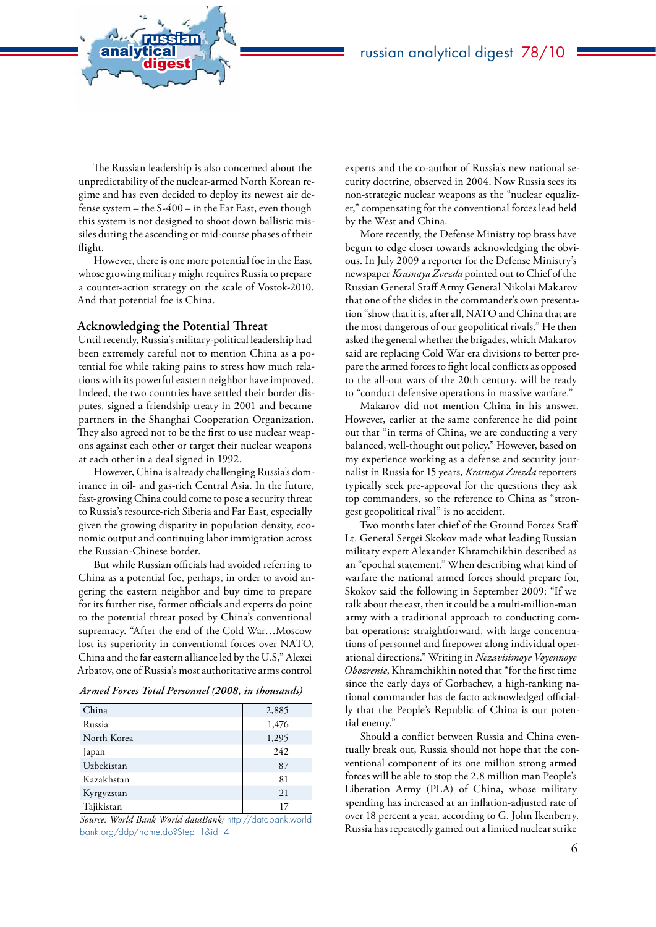The Russian leadership is also concerned about the unpredictability of the nuclear-armed North Korean regime and has even decided to deploy its newest air defense system – the S-400 – in the Far East, even though this system is not designed to shoot down ballistic missiles during the ascending or mid-course phases of their flight.

However, there is one more potential foe in the East whose growing military might requires Russia to prepare a counter-action strategy on the scale of Vostok-2010. And that potential foe is China.

#### **Acknowledging the Potential Threat**

analytical<br>digest

russian

Until recently, Russia's military-political leadership had been extremely careful not to mention China as a potential foe while taking pains to stress how much relations with its powerful eastern neighbor have improved. Indeed, the two countries have settled their border disputes, signed a friendship treaty in 2001 and became partners in the Shanghai Cooperation Organization. They also agreed not to be the first to use nuclear weapons against each other or target their nuclear weapons at each other in a deal signed in 1992.

However, China is already challenging Russia's dominance in oil- and gas-rich Central Asia. In the future, fast-growing China could come to pose a security threat to Russia's resource-rich Siberia and Far East, especially given the growing disparity in population density, economic output and continuing labor immigration across the Russian-Chinese border.

But while Russian officials had avoided referring to China as a potential foe, perhaps, in order to avoid angering the eastern neighbor and buy time to prepare for its further rise, former officials and experts do point to the potential threat posed by China's conventional supremacy. "After the end of the Cold War…Moscow lost its superiority in conventional forces over NATO, China and the far eastern alliance led by the U.S," Alexei Arbatov, one of Russia's most authoritative arms control

#### *Armed Forces Total Personnel (2008, in thousands)*

| China       | 2,885 |
|-------------|-------|
| Russia      | 1,476 |
| North Korea | 1,295 |
| Japan       | 242   |
| Uzbekistan  | 87    |
| Kazakhstan  | 81    |
| Kyrgyzstan  | 21    |
| Tajikistan  | 17    |

*Source: World Bank World dataBank;* [http://databank.world](http://databank.worldbank.org/ddp/home.do?Step=1&id=4) [bank.org/ddp/home.do?Step=1&id=4](http://databank.worldbank.org/ddp/home.do?Step=1&id=4)

experts and the co-author of Russia's new national security doctrine, observed in 2004. Now Russia sees its non-strategic nuclear weapons as the "nuclear equalizer," compensating for the conventional forces lead held by the West and China.

More recently, the Defense Ministry top brass have begun to edge closer towards acknowledging the obvious. In July 2009 a reporter for the Defense Ministry's newspaper *Krasnaya Zvezda* pointed out to Chief of the Russian General Staff Army General Nikolai Makarov that one of the slides in the commander's own presentation "show that it is, after all, NATO and China that are the most dangerous of our geopolitical rivals." He then asked the general whether the brigades, which Makarov said are replacing Cold War era divisions to better prepare the armed forces to fight local conflicts as opposed to the all-out wars of the 20th century, will be ready to "conduct defensive operations in massive warfare."

Makarov did not mention China in his answer. However, earlier at the same conference he did point out that "in terms of China, we are conducting a very balanced, well-thought out policy." However, based on my experience working as a defense and security journalist in Russia for 15 years, *Krasnaya Zvezda* reporters typically seek pre-approval for the questions they ask top commanders, so the reference to China as "strongest geopolitical rival" is no accident.

Two months later chief of the Ground Forces Staff Lt. General Sergei Skokov made what leading Russian military expert Alexander Khramchikhin described as an "epochal statement." When describing what kind of warfare the national armed forces should prepare for, Skokov said the following in September 2009: "If we talk about the east, then it could be a multi-million-man army with a traditional approach to conducting combat operations: straightforward, with large concentrations of personnel and firepower along individual operational directions." Writing in *Nezavisimoye Voyennoye Obozrenie*, Khramchikhin noted that "for the first time since the early days of Gorbachev, a high-ranking national commander has de facto acknowledged officially that the People's Republic of China is our potential enemy."

Should a conflict between Russia and China eventually break out, Russia should not hope that the conventional component of its one million strong armed forces will be able to stop the 2.8 million man People's Liberation Army (PLA) of China, whose military spending has increased at an inflation-adjusted rate of over 18 percent a year, according to G. John Ikenberry. Russia has repeatedly gamed out a limited nuclear strike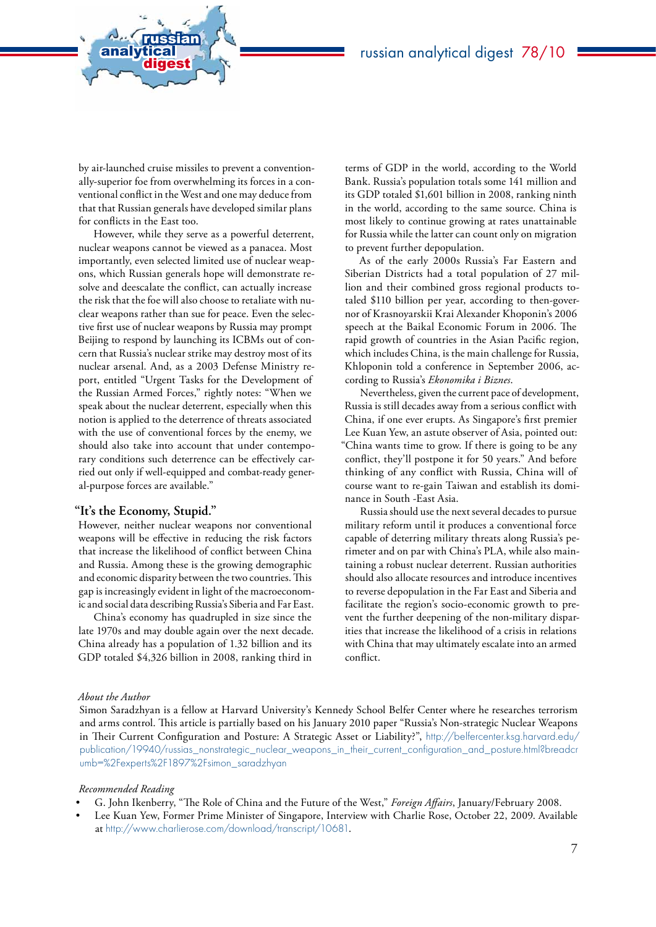by air-launched cruise missiles to prevent a conventionally-superior foe from overwhelming its forces in a conventional conflict in the West and one may deduce from that that Russian generals have developed similar plans for conflicts in the East too.

analytical<br>digest

russian

However, while they serve as a powerful deterrent, nuclear weapons cannot be viewed as a panacea. Most importantly, even selected limited use of nuclear weapons, which Russian generals hope will demonstrate resolve and deescalate the conflict, can actually increase the risk that the foe will also choose to retaliate with nuclear weapons rather than sue for peace. Even the selective first use of nuclear weapons by Russia may prompt Beijing to respond by launching its ICBMs out of concern that Russia's nuclear strike may destroy most of its nuclear arsenal. And, as a 2003 Defense Ministry report, entitled "Urgent Tasks for the Development of the Russian Armed Forces," rightly notes: "When we speak about the nuclear deterrent, especially when this notion is applied to the deterrence of threats associated with the use of conventional forces by the enemy, we should also take into account that under contemporary conditions such deterrence can be effectively carried out only if well-equipped and combat-ready general-purpose forces are available."

### **"It's the Economy, Stupid."**

However, neither nuclear weapons nor conventional weapons will be effective in reducing the risk factors that increase the likelihood of conflict between China and Russia. Among these is the growing demographic and economic disparity between the two countries. This gap is increasingly evident in light of the macroeconomic and social data describing Russia's Siberia and Far East.

China's economy has quadrupled in size since the late 1970s and may double again over the next decade. China already has a population of 1.32 billion and its GDP totaled \$4,326 billion in 2008, ranking third in

terms of GDP in the world, according to the World Bank. Russia's population totals some 141 million and its GDP totaled \$1,601 billion in 2008, ranking ninth in the world, according to the same source. China is most likely to continue growing at rates unattainable for Russia while the latter can count only on migration to prevent further depopulation.

As of the early 2000s Russia's Far Eastern and Siberian Districts had a total population of 27 million and their combined gross regional products totaled \$110 billion per year, according to then-governor of Krasnoyarskii Krai Alexander Khoponin's 2006 speech at the Baikal Economic Forum in 2006. The rapid growth of countries in the Asian Pacific region, which includes China, is the main challenge for Russia, Khloponin told a conference in September 2006, according to Russia's *Ekonomika i Biznes*.

Nevertheless, given the current pace of development, Russia is still decades away from a serious conflict with China, if one ever erupts. As Singapore's first premier Lee Kuan Yew, an astute observer of Asia, pointed out: "China wants time to grow. If there is going to be any conflict, they'll postpone it for 50 years." And before thinking of any conflict with Russia, China will of course want to re-gain Taiwan and establish its dominance in South -East Asia.

Russia should use the next several decades to pursue military reform until it produces a conventional force capable of deterring military threats along Russia's perimeter and on par with China's PLA, while also maintaining a robust nuclear deterrent. Russian authorities should also allocate resources and introduce incentives to reverse depopulation in the Far East and Siberia and facilitate the region's socio-economic growth to prevent the further deepening of the non-military disparities that increase the likelihood of a crisis in relations with China that may ultimately escalate into an armed conflict.

### *About the Author*

Simon Saradzhyan is a fellow at Harvard University's Kennedy School Belfer Center where he researches terrorism and arms control. This article is partially based on his January 2010 paper "Russia's Non-strategic Nuclear Weapons in Their Current Configuration and Posture: A Strategic Asset or Liability?", [http://belfercenter.ksg.harvard.edu/](http://belfercenter.ksg.harvard.edu/publication/19940/russias_nonstrategic_nuclear_weapons_in_their_current_configuration_and_posture.html?breadcrumb=%2Fexperts%2F1897%2Fsimon_saradzhyan) [publication/19940/russias\\_nonstrategic\\_nuclear\\_weapons\\_in\\_their\\_current\\_configuration\\_and\\_posture.html?breadcr](http://belfercenter.ksg.harvard.edu/publication/19940/russias_nonstrategic_nuclear_weapons_in_their_current_configuration_and_posture.html?breadcrumb=%2Fexperts%2F1897%2Fsimon_saradzhyan) [umb=%2Fexperts%2F1897%2Fsimon\\_saradzhyan](http://belfercenter.ksg.harvard.edu/publication/19940/russias_nonstrategic_nuclear_weapons_in_their_current_configuration_and_posture.html?breadcrumb=%2Fexperts%2F1897%2Fsimon_saradzhyan)

#### *Recommended Reading*

- G. John Ikenberry, "The Role of China and the Future of the West," *Foreign Affairs*, January/February 2008.
- Lee Kuan Yew, Former Prime Minister of Singapore, Interview with Charlie Rose, October 22, 2009. Available at http://www.charlierose.com/download/transcript/10681.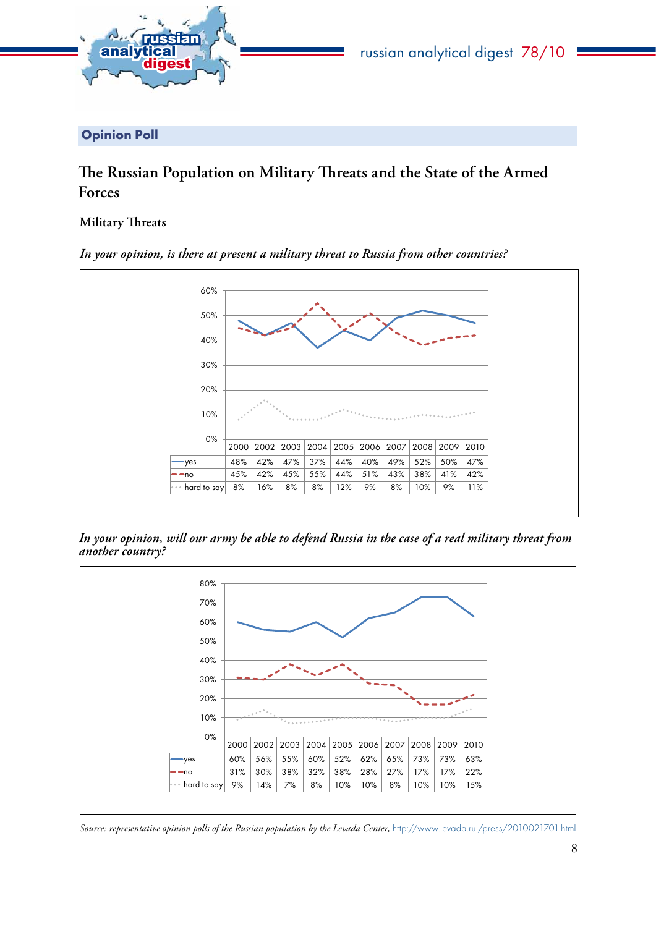<span id="page-7-0"></span>

Opinion Poll

# **The Russian Population on Military Threats and the State of the Armed Forces**

## **Military Threats**



*In your opinion, is there at present a military threat to Russia from other countries?*

*In your opinion, will our army be able to defend Russia in the case of a real military threat from another country?*



*Source: representative opinion polls of the Russian population by the Levada Center,* http://www.levada.ru./press/2010021701.html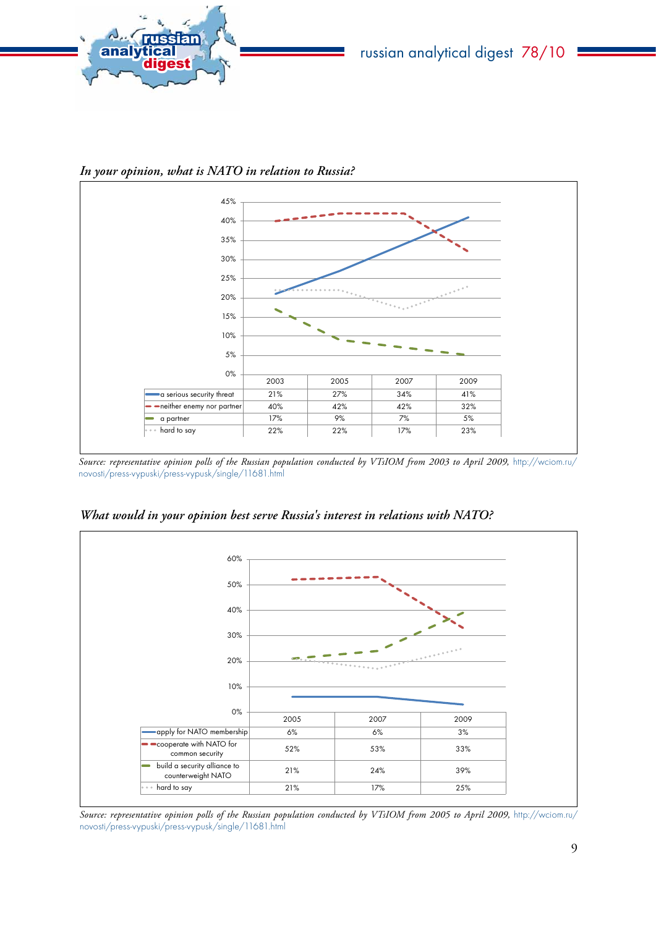

*In your opinion, what is NATO in relation to Russia?*



*Source: representative opinion polls of the Russian population conducted by VTsIOM from 2003 to April 2009,* [http://wciom.ru/](http://wciom.ru/novosti/press-vypuski/press-vypusk/single/11681.html) [novosti/press-vypuski/press-vypusk/single/11681.html](http://wciom.ru/novosti/press-vypuski/press-vypusk/single/11681.html)



*What would in your opinion best serve Russia's interest in relations with NATO?*

*Source: representative opinion polls of the Russian population conducted by VTsIOM from 2005 to April 2009,* [http://wciom.ru/](http://wciom.ru/novosti/press-vypuski/press-vypusk/single/11681.html) [novosti/press-vypuski/press-vypusk/single/11681.html](http://wciom.ru/novosti/press-vypuski/press-vypusk/single/11681.html)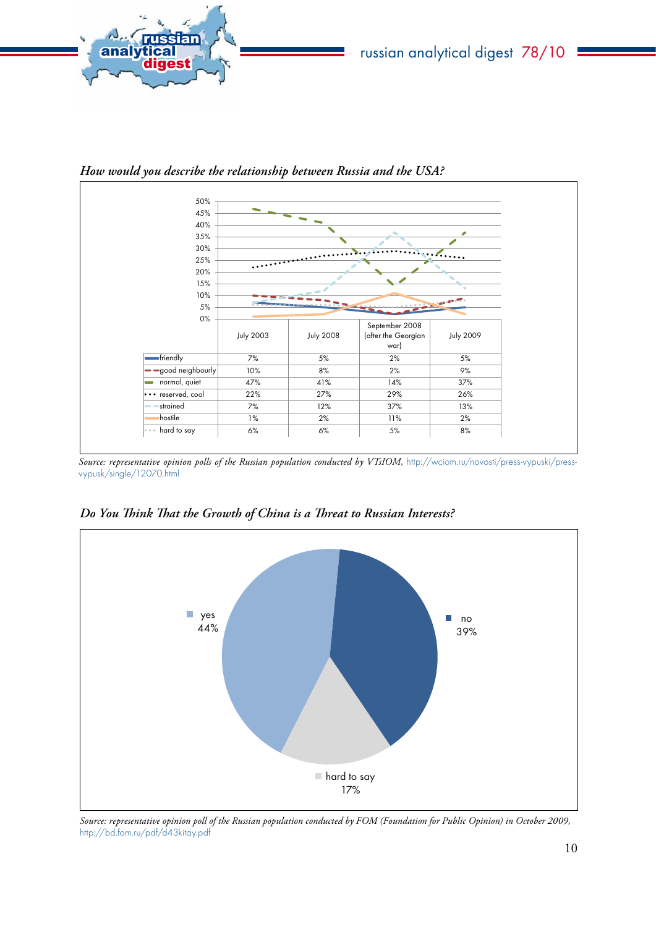



*How would you describe the relationship between Russia and the USA?* 

Source: representative opinion polls of the Russian population conducted by VTsIOM, [http://wciom.ru/novosti/press-vypuski/press](http://wciom.ru/novosti/press-vypuski/press-vypusk/single/12070.html)[vypusk/single/12070.html](http://wciom.ru/novosti/press-vypuski/press-vypusk/single/12070.html)



*Do You Think That the Growth of China is a Threat to Russian Interests?*

*Source: representative opinion poll of the Russian population conducted by FOM (Foundation for Public Opinion) in October 2009,*  http://bd.fom.ru/pdf/d43kitay.pdf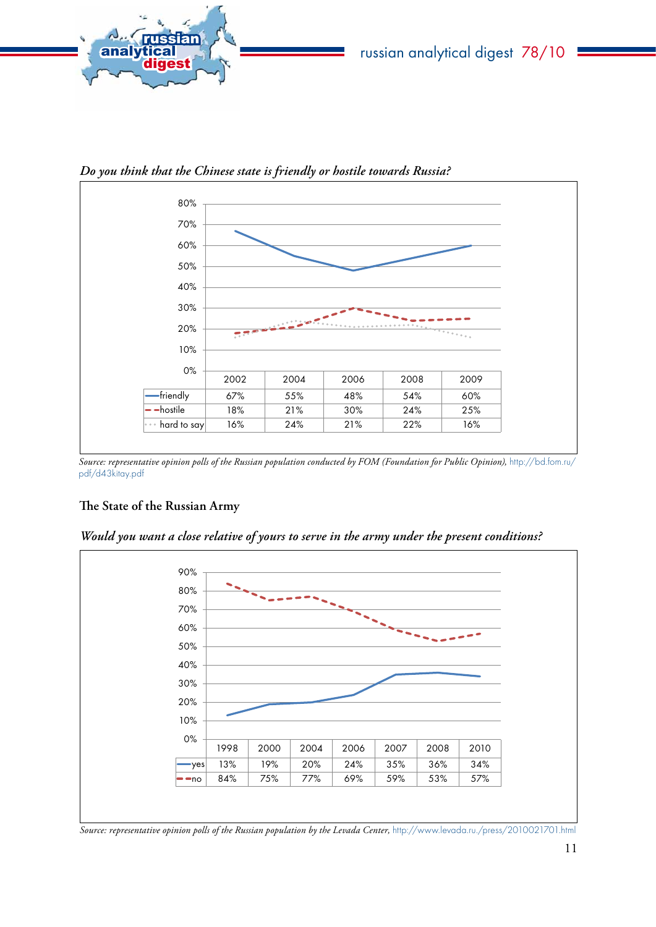

80% 70% 60% 50% 40% 30% 20% - 5 10% 0% 2002 2004 2006 2008 2009 friendly | 67% | 55% | 48% | 54% | 60% hostile 18% 21% 30% 24% 25% hard to say 16% 24% 21% 22% 16%

*Do you think that the Chinese state is friendly or hostile towards Russia?*

*Source: representative opinion polls of the Russian population conducted by FOM (Foundation for Public Opinion),* [http://bd.fom.ru/](http://bd.fom.ru/pdf/d43kitay.pdf) [pdf/d43kitay.pdf](http://bd.fom.ru/pdf/d43kitay.pdf)

## **The State of the Russian Army**

*Would you want a close relative of yours to serve in the army under the present conditions?* 



*Source: representative opinion polls of the Russian population by the Levada Center,* <http://www.levada.ru./press/2010021701.html>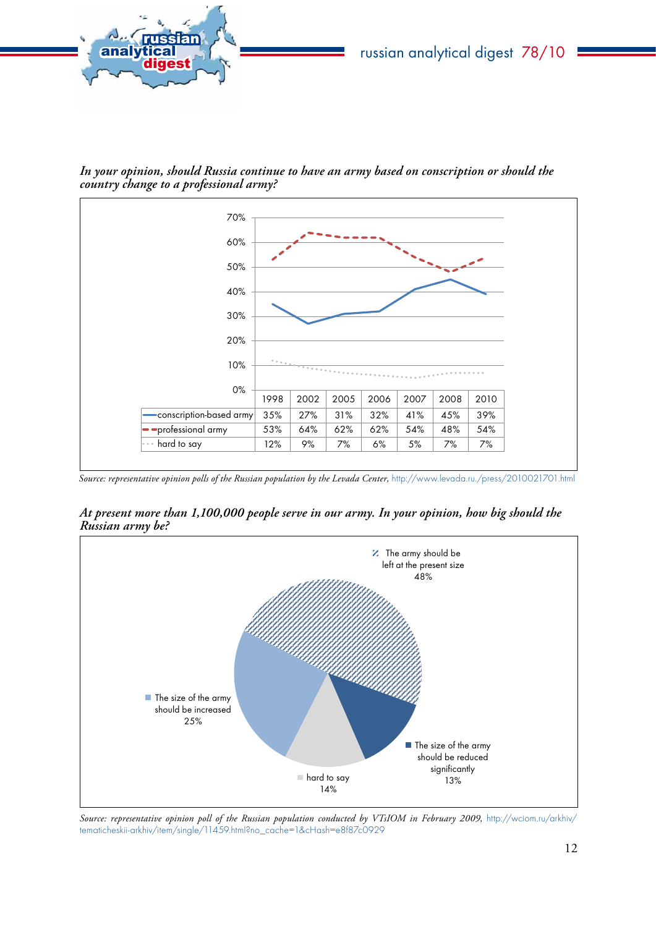*In your opinion, should Russia continue to have an army based on conscription or should the country change to a professional army?* 

analytical<br>digest

russian



*Source: representative opinion polls of the Russian population by the Levada Center,* <http://www.levada.ru./press/2010021701.html>

*At present more than 1,100,000 people serve in our army. In your opinion, how big should the Russian army be?* 



Source: representative opinion poll of the Russian population conducted by VTsIOM in February 2009, [http://wciom.ru/arkhiv/](http://wciom.ru/arkhiv/tematicheskii-arkhiv/item/single/11459.html?no_cache=1&cHash=e8f87c0929) [tematicheskii-arkhiv/item/single/11459.html?no\\_cache=1&cHash=e8f87c0929](http://wciom.ru/arkhiv/tematicheskii-arkhiv/item/single/11459.html?no_cache=1&cHash=e8f87c0929)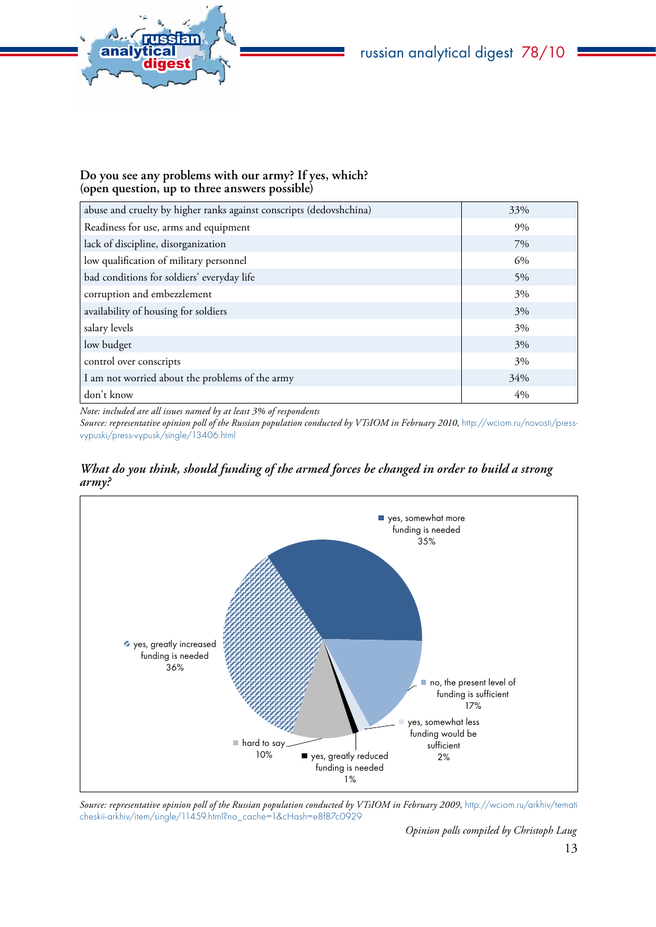

## **Do you see any problems with our army? If yes, which? (open question, up to three answers possible)**

| abuse and cruelty by higher ranks against conscripts (dedovshchina) | 33%   |
|---------------------------------------------------------------------|-------|
| Readiness for use, arms and equipment                               | 9%    |
| lack of discipline, disorganization                                 | 7%    |
| low qualification of military personnel                             | 6%    |
| bad conditions for soldiers' everyday life                          | 5%    |
| corruption and embezzlement                                         | 3%    |
| availability of housing for soldiers                                | 3%    |
| salary levels                                                       | 3%    |
| low budget                                                          | 3%    |
| control over conscripts                                             | 3%    |
| I am not worried about the problems of the army                     | 34%   |
| don't know                                                          | $4\%$ |

*Note: included are all issues named by at least 3% of respondents*

*Source: representative opinion poll of the Russian population conducted by VTsIOM in February 2010,* [http://wciom.ru/novosti/press](http://wciom.ru/novosti/press-vypuski/press-vypusk/single/13406.html)[vypuski/press-vypusk/single/13406.html](http://wciom.ru/novosti/press-vypuski/press-vypusk/single/13406.html)

*What do you think, should funding of the armed forces be changed in order to build a strong army?* 



Source: representative opinion poll of the Russian population conducted by VTsIOM in February 2009, [http://wciom.ru/arkhiv/temati](http://wciom.ru/arkhiv/tematicheskii-arkhiv/item/single/11459.html?no_cache=1&cHash=e8f87c0929) [cheskii-arkhiv/item/single/11459.html?no\\_cache=1&cHash=e8f87c0929](http://wciom.ru/arkhiv/tematicheskii-arkhiv/item/single/11459.html?no_cache=1&cHash=e8f87c0929)

*Opinion polls compiled by Christoph Laug*